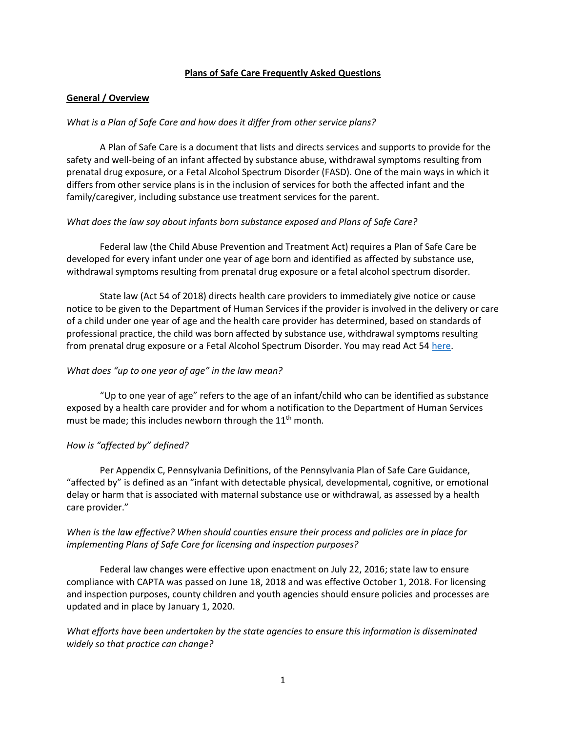### **Plans of Safe Care Frequently Asked Questions**

### **General / Overview**

### *What is a Plan of Safe Care and how does it differ from other service plans?*

A Plan of Safe Care is a document that lists and directs services and supports to provide for the safety and well-being of an infant affected by substance abuse, withdrawal symptoms resulting from prenatal drug exposure, or a Fetal Alcohol Spectrum Disorder (FASD). One of the main ways in which it differs from other service plans is in the inclusion of services for both the affected infant and the family/caregiver, including substance use treatment services for the parent.

### *What does the law say about infants born substance exposed and Plans of Safe Care?*

Federal law (the Child Abuse Prevention and Treatment Act) requires a Plan of Safe Care be developed for every infant under one year of age born and identified as affected by substance use, withdrawal symptoms resulting from prenatal drug exposure or a fetal alcohol spectrum disorder.

State law (Act 54 of 2018) directs health care providers to immediately give notice or cause notice to be given to the Department of Human Services if the provider is involved in the delivery or care of a child under one year of age and the health care provider has determined, based on standards of professional practice, the child was born affected by substance use, withdrawal symptoms resulting from prenatal drug exposure or a Fetal Alcohol Spectrum Disorder. You may read Act 54 [here.](https://www.legis.state.pa.us/cfdocs/legis/li/uconsCheck.cfm?yr=2018&sessInd=0&act=54)

### *What does "up to one year of age" in the law mean?*

"Up to one year of age" refers to the age of an infant/child who can be identified as substance exposed by a health care provider and for whom a notification to the Department of Human Services must be made; this includes newborn through the  $11<sup>th</sup>$  month.

### *How is "affected by" defined?*

Per Appendix C, Pennsylvania Definitions, of the Pennsylvania Plan of Safe Care Guidance, "affected by" is defined as an "infant with detectable physical, developmental, cognitive, or emotional delay or harm that is associated with maternal substance use or withdrawal, as assessed by a health care provider."

# *When is the law effective? When should counties ensure their process and policies are in place for implementing Plans of Safe Care for licensing and inspection purposes?*

Federal law changes were effective upon enactment on July 22, 2016; state law to ensure compliance with CAPTA was passed on June 18, 2018 and was effective October 1, 2018. For licensing and inspection purposes, county children and youth agencies should ensure policies and processes are updated and in place by January 1, 2020.

*What efforts have been undertaken by the state agencies to ensure this information is disseminated widely so that practice can change?*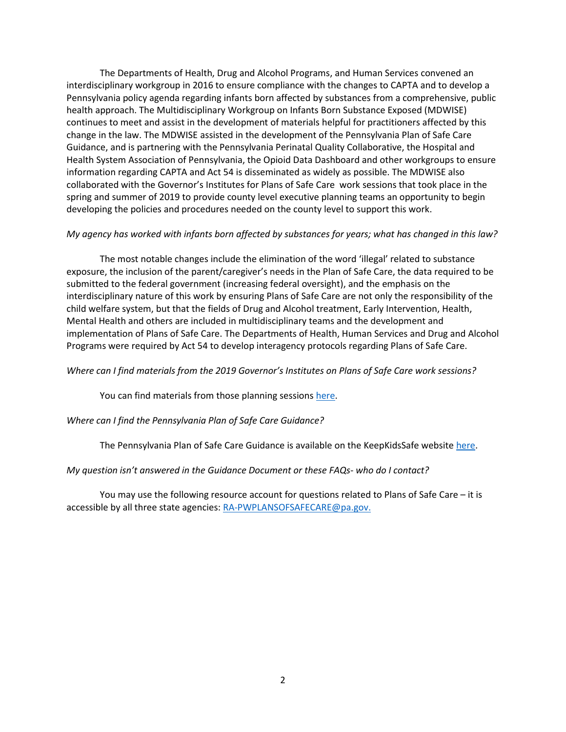The Departments of Health, Drug and Alcohol Programs, and Human Services convened an interdisciplinary workgroup in 2016 to ensure compliance with the changes to CAPTA and to develop a Pennsylvania policy agenda regarding infants born affected by substances from a comprehensive, public health approach. The Multidisciplinary Workgroup on Infants Born Substance Exposed (MDWISE) continues to meet and assist in the development of materials helpful for practitioners affected by this change in the law. The MDWISE assisted in the development of the Pennsylvania Plan of Safe Care Guidance, and is partnering with the Pennsylvania Perinatal Quality Collaborative, the Hospital and Health System Association of Pennsylvania, the Opioid Data Dashboard and other workgroups to ensure information regarding CAPTA and Act 54 is disseminated as widely as possible. The MDWISE also collaborated with the Governor's Institutes for Plans of Safe Care work sessions that took place in the spring and summer of 2019 to provide county level executive planning teams an opportunity to begin developing the policies and procedures needed on the county level to support this work.

#### *My agency has worked with infants born affected by substances for years; what has changed in this law?*

The most notable changes include the elimination of the word 'illegal' related to substance exposure, the inclusion of the parent/caregiver's needs in the Plan of Safe Care, the data required to be submitted to the federal government (increasing federal oversight), and the emphasis on the interdisciplinary nature of this work by ensuring Plans of Safe Care are not only the responsibility of the child welfare system, but that the fields of Drug and Alcohol treatment, Early Intervention, Health, Mental Health and others are included in multidisciplinary teams and the development and implementation of Plans of Safe Care. The Departments of Health, Human Services and Drug and Alcohol Programs were required by Act 54 to develop interagency protocols regarding Plans of Safe Care.

#### *Where can I find materials from the 2019 Governor's Institutes on Plans of Safe Care work sessions?*

You can find materials from those planning sessions [here.](http://www.keepkidssafe.pa.gov/resources/PlansSafeCare/index.htm)

#### *Where can I find the Pennsylvania Plan of Safe Care Guidance?*

The Pennsylvania Plan of Safe Care Guidance is available on the KeepKidsSafe websit[e here.](http://www.keepkidssafe.pa.gov/cs/groups/webcontent/documents/document/c_287154.pdf)

#### *My question isn't answered in the Guidance Document or these FAQs- who do I contact?*

You may use the following resource account for questions related to Plans of Safe Care – it is accessible by all three state agencies: [RA-PWPLANSOFSAFECARE@pa.gov.](mailto:RA-PWPLANSOFSAFECARE@pa.gov)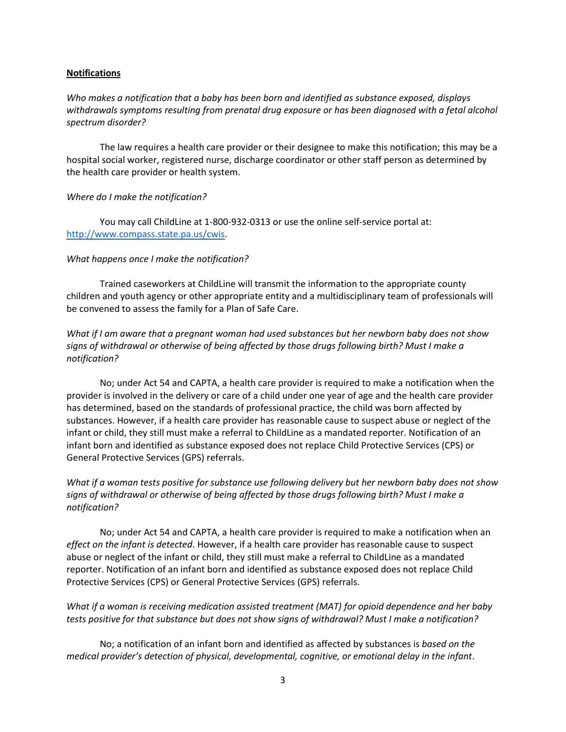### **Notifications**

*Who makes a notification that a baby has been born and identified as substance exposed, displays withdrawals symptoms resulting from prenatal drug exposure or has been diagnosed with a fetal alcohol spectrum disorder?*

The law requires a health care provider or their designee to make this notification; this may be a hospital social worker, registered nurse, discharge coordinator or other staff person as determined by the health care provider or health system.

### *Where do I make the notification?*

You may call ChildLine at 1-800-932-0313 or use the online self-service portal at: [http://www.compass.state.pa.us/cwis.](http://www.compass.state.pa.us/cwis)

### *What happens once I make the notification?*

Trained caseworkers at ChildLine will transmit the information to the appropriate county children and youth agency or other appropriate entity and a multidisciplinary team of professionals will be convened to assess the family for a Plan of Safe Care.

*What if I am aware that a pregnant woman had used substances but her newborn baby does not show signs of withdrawal or otherwise of being affected by those drugs following birth? Must I make a notification?*

No; under Act 54 and CAPTA, a health care provider is required to make a notification when the provider is involved in the delivery or care of a child under one year of age and the health care provider has determined, based on the standards of professional practice, the child was born affected by substances. However, if a health care provider has reasonable cause to suspect abuse or neglect of the infant or child, they still must make a referral to ChildLine as a mandated reporter. Notification of an infant born and identified as substance exposed does not replace Child Protective Services (CPS) or General Protective Services (GPS) referrals.

# *What if a woman tests positive for substance use following delivery but her newborn baby does not show signs of withdrawal or otherwise of being affected by those drugs following birth? Must I make a notification?*

No; under Act 54 and CAPTA, a health care provider is required to make a notification when an *effect on the infant is detected*. However, if a health care provider has reasonable cause to suspect abuse or neglect of the infant or child, they still must make a referral to ChildLine as a mandated reporter. Notification of an infant born and identified as substance exposed does not replace Child Protective Services (CPS) or General Protective Services (GPS) referrals.

### *What if a woman is receiving medication assisted treatment (MAT) for opioid dependence and her baby tests positive for that substance but does not show signs of withdrawal? Must I make a notification?*

No; a notification of an infant born and identified as affected by substances is *based on the medical provider's detection of physical, developmental, cognitive, or emotional delay in the infant*.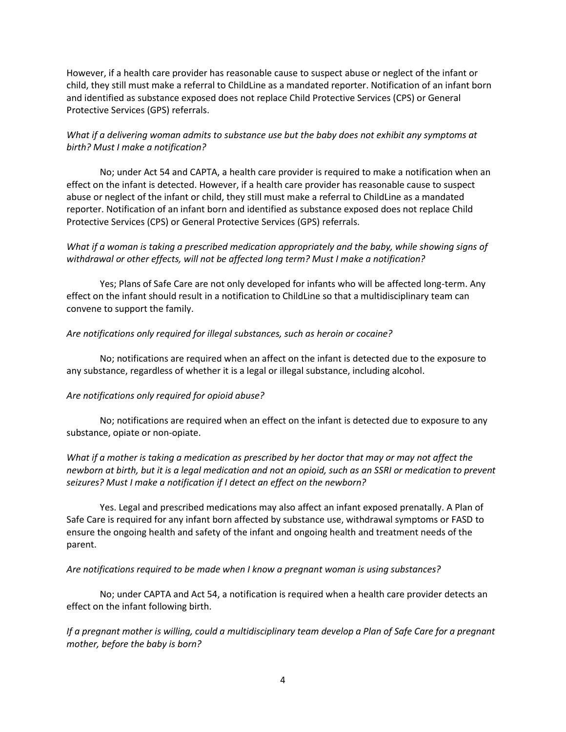However, if a health care provider has reasonable cause to suspect abuse or neglect of the infant or child, they still must make a referral to ChildLine as a mandated reporter. Notification of an infant born and identified as substance exposed does not replace Child Protective Services (CPS) or General Protective Services (GPS) referrals.

# *What if a delivering woman admits to substance use but the baby does not exhibit any symptoms at birth? Must I make a notification?*

No; under Act 54 and CAPTA, a health care provider is required to make a notification when an effect on the infant is detected. However, if a health care provider has reasonable cause to suspect abuse or neglect of the infant or child, they still must make a referral to ChildLine as a mandated reporter. Notification of an infant born and identified as substance exposed does not replace Child Protective Services (CPS) or General Protective Services (GPS) referrals.

# *What if a woman is taking a prescribed medication appropriately and the baby, while showing signs of withdrawal or other effects, will not be affected long term? Must I make a notification?*

Yes; Plans of Safe Care are not only developed for infants who will be affected long-term. Any effect on the infant should result in a notification to ChildLine so that a multidisciplinary team can convene to support the family.

### *Are notifications only required for illegal substances, such as heroin or cocaine?*

No; notifications are required when an affect on the infant is detected due to the exposure to any substance, regardless of whether it is a legal or illegal substance, including alcohol.

### *Are notifications only required for opioid abuse?*

No; notifications are required when an effect on the infant is detected due to exposure to any substance, opiate or non-opiate.

*What if a mother is taking a medication as prescribed by her doctor that may or may not affect the newborn at birth, but it is a legal medication and not an opioid, such as an SSRI or medication to prevent seizures? Must I make a notification if I detect an effect on the newborn?*

Yes. Legal and prescribed medications may also affect an infant exposed prenatally. A Plan of Safe Care is required for any infant born affected by substance use, withdrawal symptoms or FASD to ensure the ongoing health and safety of the infant and ongoing health and treatment needs of the parent.

### *Are notifications required to be made when I know a pregnant woman is using substances?*

No; under CAPTA and Act 54, a notification is required when a health care provider detects an effect on the infant following birth.

*If a pregnant mother is willing, could a multidisciplinary team develop a Plan of Safe Care for a pregnant mother, before the baby is born?*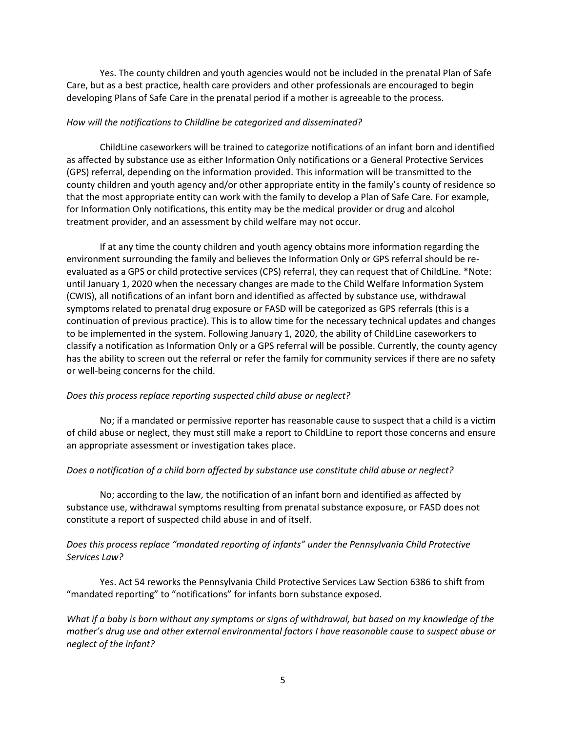Yes. The county children and youth agencies would not be included in the prenatal Plan of Safe Care, but as a best practice, health care providers and other professionals are encouraged to begin developing Plans of Safe Care in the prenatal period if a mother is agreeable to the process.

### *How will the notifications to Childline be categorized and disseminated?*

ChildLine caseworkers will be trained to categorize notifications of an infant born and identified as affected by substance use as either Information Only notifications or a General Protective Services (GPS) referral, depending on the information provided. This information will be transmitted to the county children and youth agency and/or other appropriate entity in the family's county of residence so that the most appropriate entity can work with the family to develop a Plan of Safe Care. For example, for Information Only notifications, this entity may be the medical provider or drug and alcohol treatment provider, and an assessment by child welfare may not occur.

If at any time the county children and youth agency obtains more information regarding the environment surrounding the family and believes the Information Only or GPS referral should be reevaluated as a GPS or child protective services (CPS) referral, they can request that of ChildLine. \*Note: until January 1, 2020 when the necessary changes are made to the Child Welfare Information System (CWIS), all notifications of an infant born and identified as affected by substance use, withdrawal symptoms related to prenatal drug exposure or FASD will be categorized as GPS referrals (this is a continuation of previous practice). This is to allow time for the necessary technical updates and changes to be implemented in the system. Following January 1, 2020, the ability of ChildLine caseworkers to classify a notification as Information Only or a GPS referral will be possible. Currently, the county agency has the ability to screen out the referral or refer the family for community services if there are no safety or well-being concerns for the child.

### *Does this process replace reporting suspected child abuse or neglect?*

No; if a mandated or permissive reporter has reasonable cause to suspect that a child is a victim of child abuse or neglect, they must still make a report to ChildLine to report those concerns and ensure an appropriate assessment or investigation takes place.

### *Does a notification of a child born affected by substance use constitute child abuse or neglect?*

No; according to the law, the notification of an infant born and identified as affected by substance use, withdrawal symptoms resulting from prenatal substance exposure, or FASD does not constitute a report of suspected child abuse in and of itself.

# *Does this process replace "mandated reporting of infants" under the Pennsylvania Child Protective Services Law?*

Yes. Act 54 reworks the Pennsylvania Child Protective Services Law Section 6386 to shift from "mandated reporting" to "notifications" for infants born substance exposed.

*What if a baby is born without any symptoms or signs of withdrawal, but based on my knowledge of the mother's drug use and other external environmental factors I have reasonable cause to suspect abuse or neglect of the infant?*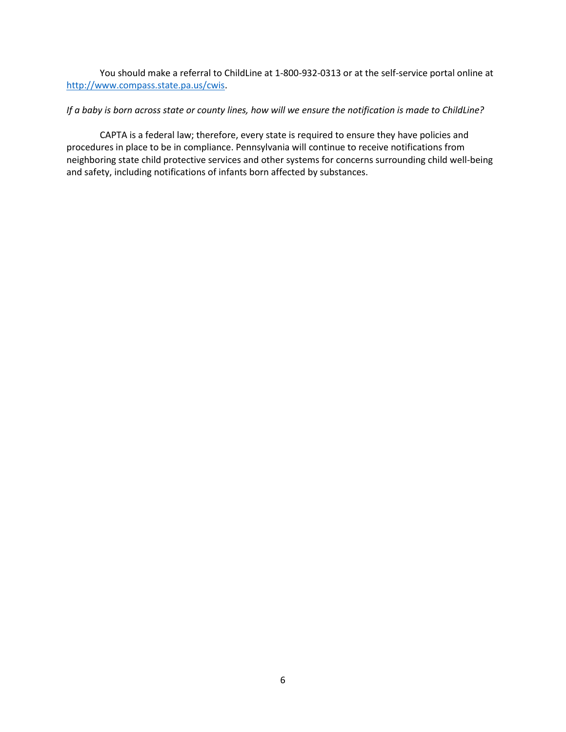You should make a referral to ChildLine at 1-800-932-0313 or at the self-service portal online at [http://www.compass.state.pa.us/cwis.](http://www.compass.state.pa.us/cwis)

### *If a baby is born across state or county lines, how will we ensure the notification is made to ChildLine?*

CAPTA is a federal law; therefore, every state is required to ensure they have policies and procedures in place to be in compliance. Pennsylvania will continue to receive notifications from neighboring state child protective services and other systems for concerns surrounding child well-being and safety, including notifications of infants born affected by substances.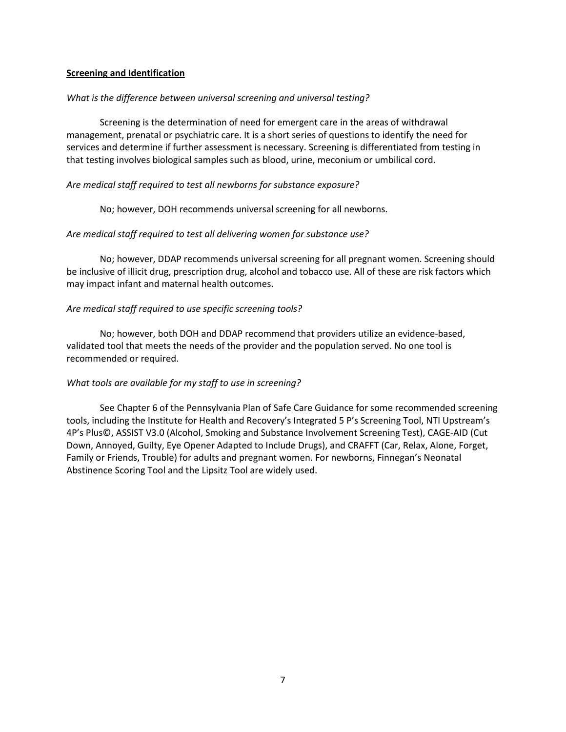### **Screening and Identification**

### *What is the difference between universal screening and universal testing?*

Screening is the determination of need for emergent care in the areas of withdrawal management, prenatal or psychiatric care. It is a short series of questions to identify the need for services and determine if further assessment is necessary. Screening is differentiated from testing in that testing involves biological samples such as blood, urine, meconium or umbilical cord.

### *Are medical staff required to test all newborns for substance exposure?*

No; however, DOH recommends universal screening for all newborns.

### *Are medical staff required to test all delivering women for substance use?*

No; however, DDAP recommends universal screening for all pregnant women. Screening should be inclusive of illicit drug, prescription drug, alcohol and tobacco use. All of these are risk factors which may impact infant and maternal health outcomes.

### *Are medical staff required to use specific screening tools?*

No; however, both DOH and DDAP recommend that providers utilize an evidence‐based, validated tool that meets the needs of the provider and the population served. No one tool is recommended or required.

### *What tools are available for my staff to use in screening?*

See Chapter 6 of the Pennsylvania Plan of Safe Care Guidance for some recommended screening tools, including the Institute for Health and Recovery's Integrated 5 P's Screening Tool, NTI Upstream's 4P's Plus©, ASSIST V3.0 (Alcohol, Smoking and Substance Involvement Screening Test), CAGE‐AID (Cut Down, Annoyed, Guilty, Eye Opener Adapted to Include Drugs), and CRAFFT (Car, Relax, Alone, Forget, Family or Friends, Trouble) for adults and pregnant women. For newborns, Finnegan's Neonatal Abstinence Scoring Tool and the Lipsitz Tool are widely used.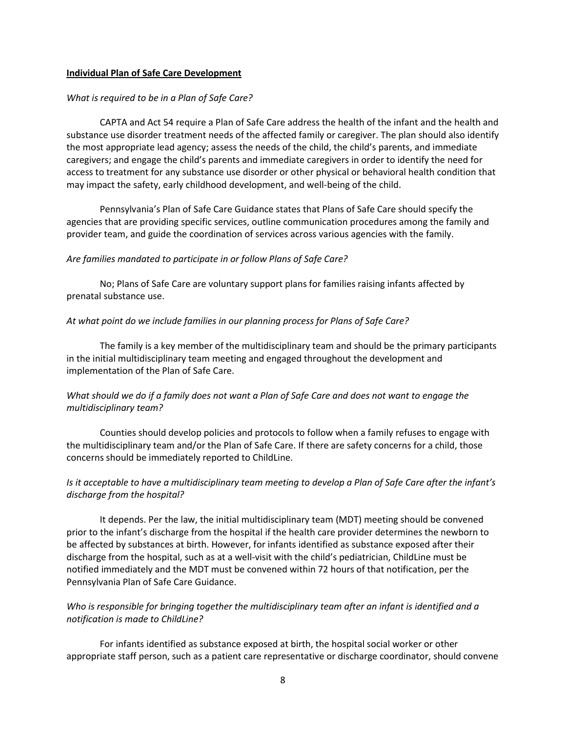### **Individual Plan of Safe Care Development**

### *What is required to be in a Plan of Safe Care?*

CAPTA and Act 54 require a Plan of Safe Care address the health of the infant and the health and substance use disorder treatment needs of the affected family or caregiver. The plan should also identify the most appropriate lead agency; assess the needs of the child, the child's parents, and immediate caregivers; and engage the child's parents and immediate caregivers in order to identify the need for access to treatment for any substance use disorder or other physical or behavioral health condition that may impact the safety, early childhood development, and well-being of the child.

Pennsylvania's Plan of Safe Care Guidance states that Plans of Safe Care should specify the agencies that are providing specific services, outline communication procedures among the family and provider team, and guide the coordination of services across various agencies with the family.

### *Are families mandated to participate in or follow Plans of Safe Care?*

No; Plans of Safe Care are voluntary support plans for families raising infants affected by prenatal substance use.

### *At what point do we include families in our planning process for Plans of Safe Care?*

The family is a key member of the multidisciplinary team and should be the primary participants in the initial multidisciplinary team meeting and engaged throughout the development and implementation of the Plan of Safe Care.

# *What should we do if a family does not want a Plan of Safe Care and does not want to engage the multidisciplinary team?*

Counties should develop policies and protocols to follow when a family refuses to engage with the multidisciplinary team and/or the Plan of Safe Care. If there are safety concerns for a child, those concerns should be immediately reported to ChildLine.

# *Is it acceptable to have a multidisciplinary team meeting to develop a Plan of Safe Care after the infant's discharge from the hospital?*

It depends. Per the law, the initial multidisciplinary team (MDT) meeting should be convened prior to the infant's discharge from the hospital if the health care provider determines the newborn to be affected by substances at birth. However, for infants identified as substance exposed after their discharge from the hospital, such as at a well-visit with the child's pediatrician, ChildLine must be notified immediately and the MDT must be convened within 72 hours of that notification, per the Pennsylvania Plan of Safe Care Guidance.

# *Who is responsible for bringing together the multidisciplinary team after an infant is identified and a notification is made to ChildLine?*

For infants identified as substance exposed at birth, the hospital social worker or other appropriate staff person, such as a patient care representative or discharge coordinator, should convene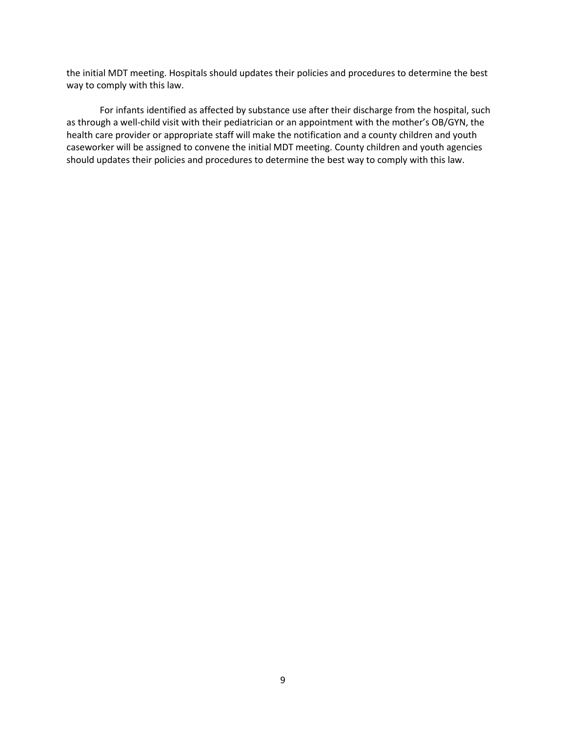the initial MDT meeting. Hospitals should updates their policies and procedures to determine the best way to comply with this law.

For infants identified as affected by substance use after their discharge from the hospital, such as through a well-child visit with their pediatrician or an appointment with the mother's OB/GYN, the health care provider or appropriate staff will make the notification and a county children and youth caseworker will be assigned to convene the initial MDT meeting. County children and youth agencies should updates their policies and procedures to determine the best way to comply with this law.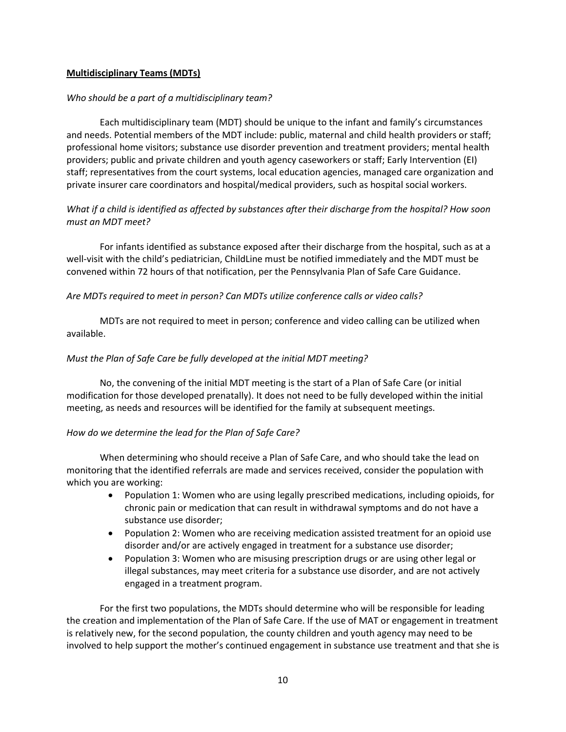### **Multidisciplinary Teams (MDTs)**

### *Who should be a part of a multidisciplinary team?*

Each multidisciplinary team (MDT) should be unique to the infant and family's circumstances and needs. Potential members of the MDT include: public, maternal and child health providers or staff; professional home visitors; substance use disorder prevention and treatment providers; mental health providers; public and private children and youth agency caseworkers or staff; Early Intervention (EI) staff; representatives from the court systems, local education agencies, managed care organization and private insurer care coordinators and hospital/medical providers, such as hospital social workers.

# *What if a child is identified as affected by substances after their discharge from the hospital? How soon must an MDT meet?*

For infants identified as substance exposed after their discharge from the hospital, such as at a well-visit with the child's pediatrician, ChildLine must be notified immediately and the MDT must be convened within 72 hours of that notification, per the Pennsylvania Plan of Safe Care Guidance.

### *Are MDTs required to meet in person? Can MDTs utilize conference calls or video calls?*

MDTs are not required to meet in person; conference and video calling can be utilized when available.

### *Must the Plan of Safe Care be fully developed at the initial MDT meeting?*

No, the convening of the initial MDT meeting is the start of a Plan of Safe Care (or initial modification for those developed prenatally). It does not need to be fully developed within the initial meeting, as needs and resources will be identified for the family at subsequent meetings.

### *How do we determine the lead for the Plan of Safe Care?*

When determining who should receive a Plan of Safe Care, and who should take the lead on monitoring that the identified referrals are made and services received, consider the population with which you are working:

- Population 1: Women who are using legally prescribed medications, including opioids, for chronic pain or medication that can result in withdrawal symptoms and do not have a substance use disorder;
- Population 2: Women who are receiving medication assisted treatment for an opioid use disorder and/or are actively engaged in treatment for a substance use disorder;
- Population 3: Women who are misusing prescription drugs or are using other legal or illegal substances, may meet criteria for a substance use disorder, and are not actively engaged in a treatment program.

For the first two populations, the MDTs should determine who will be responsible for leading the creation and implementation of the Plan of Safe Care. If the use of MAT or engagement in treatment is relatively new, for the second population, the county children and youth agency may need to be involved to help support the mother's continued engagement in substance use treatment and that she is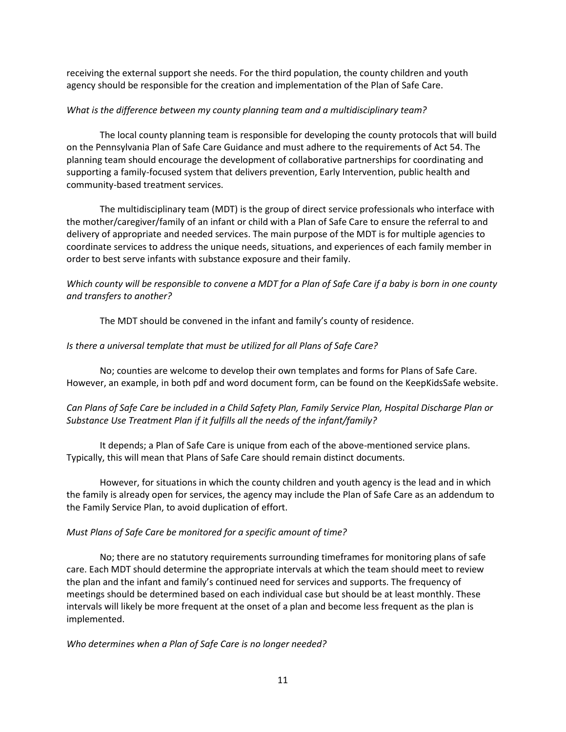receiving the external support she needs. For the third population, the county children and youth agency should be responsible for the creation and implementation of the Plan of Safe Care.

### *What is the difference between my county planning team and a multidisciplinary team?*

The local county planning team is responsible for developing the county protocols that will build on the Pennsylvania Plan of Safe Care Guidance and must adhere to the requirements of Act 54. The planning team should encourage the development of collaborative partnerships for coordinating and supporting a family-focused system that delivers prevention, Early Intervention, public health and community-based treatment services.

The multidisciplinary team (MDT) is the group of direct service professionals who interface with the mother/caregiver/family of an infant or child with a Plan of Safe Care to ensure the referral to and delivery of appropriate and needed services. The main purpose of the MDT is for multiple agencies to coordinate services to address the unique needs, situations, and experiences of each family member in order to best serve infants with substance exposure and their family.

# *Which county will be responsible to convene a MDT for a Plan of Safe Care if a baby is born in one county and transfers to another?*

The MDT should be convened in the infant and family's county of residence.

# *Is there a universal template that must be utilized for all Plans of Safe Care?*

No; counties are welcome to develop their own templates and forms for Plans of Safe Care. However, an example, in both pdf and word document form, can be found on the KeepKidsSafe website.

# *Can Plans of Safe Care be included in a Child Safety Plan, Family Service Plan, Hospital Discharge Plan or Substance Use Treatment Plan if it fulfills all the needs of the infant/family?*

It depends; a Plan of Safe Care is unique from each of the above-mentioned service plans. Typically, this will mean that Plans of Safe Care should remain distinct documents.

However, for situations in which the county children and youth agency is the lead and in which the family is already open for services, the agency may include the Plan of Safe Care as an addendum to the Family Service Plan, to avoid duplication of effort.

# *Must Plans of Safe Care be monitored for a specific amount of time?*

No; there are no statutory requirements surrounding timeframes for monitoring plans of safe care. Each MDT should determine the appropriate intervals at which the team should meet to review the plan and the infant and family's continued need for services and supports. The frequency of meetings should be determined based on each individual case but should be at least monthly. These intervals will likely be more frequent at the onset of a plan and become less frequent as the plan is implemented.

### *Who determines when a Plan of Safe Care is no longer needed?*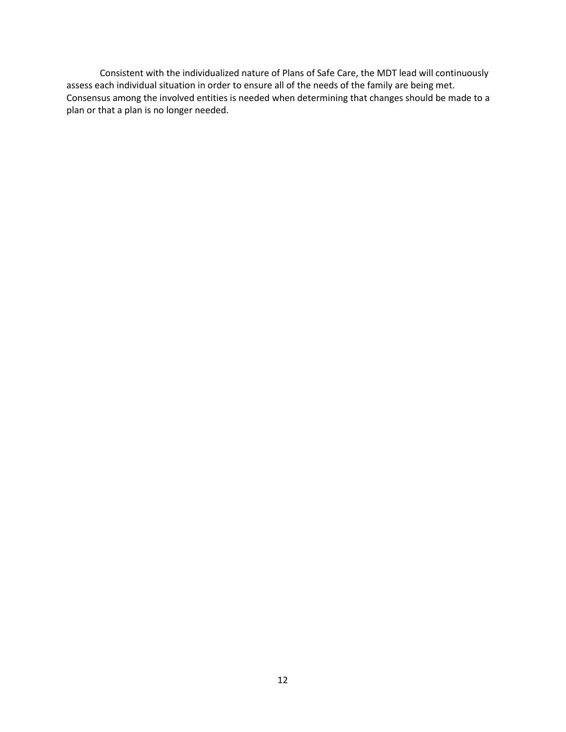Consistent with the individualized nature of Plans of Safe Care, the MDT lead will continuously assess each individual situation in order to ensure all of the needs of the family are being met. Consensus among the involved entities is needed when determining that changes should be made to a plan or that a plan is no longer needed.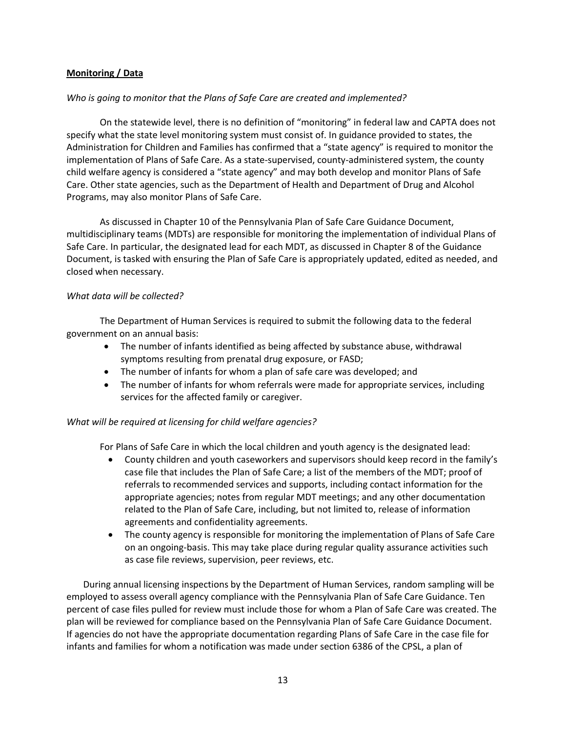### **Monitoring / Data**

### *Who is going to monitor that the Plans of Safe Care are created and implemented?*

On the statewide level, there is no definition of "monitoring" in federal law and CAPTA does not specify what the state level monitoring system must consist of. In guidance provided to states, the Administration for Children and Families has confirmed that a "state agency" is required to monitor the implementation of Plans of Safe Care. As a state-supervised, county-administered system, the county child welfare agency is considered a "state agency" and may both develop and monitor Plans of Safe Care. Other state agencies, such as the Department of Health and Department of Drug and Alcohol Programs, may also monitor Plans of Safe Care.

As discussed in Chapter 10 of the Pennsylvania Plan of Safe Care Guidance Document, multidisciplinary teams (MDTs) are responsible for monitoring the implementation of individual Plans of Safe Care. In particular, the designated lead for each MDT, as discussed in Chapter 8 of the Guidance Document, is tasked with ensuring the Plan of Safe Care is appropriately updated, edited as needed, and closed when necessary.

### *What data will be collected?*

The Department of Human Services is required to submit the following data to the federal government on an annual basis:

- The number of infants identified as being affected by substance abuse, withdrawal symptoms resulting from prenatal drug exposure, or FASD;
- The number of infants for whom a plan of safe care was developed; and
- The number of infants for whom referrals were made for appropriate services, including services for the affected family or caregiver.

### *What will be required at licensing for child welfare agencies?*

For Plans of Safe Care in which the local children and youth agency is the designated lead:

- County children and youth caseworkers and supervisors should keep record in the family's case file that includes the Plan of Safe Care; a list of the members of the MDT; proof of referrals to recommended services and supports, including contact information for the appropriate agencies; notes from regular MDT meetings; and any other documentation related to the Plan of Safe Care, including, but not limited to, release of information agreements and confidentiality agreements.
- The county agency is responsible for monitoring the implementation of Plans of Safe Care on an ongoing-basis. This may take place during regular quality assurance activities such as case file reviews, supervision, peer reviews, etc.

During annual licensing inspections by the Department of Human Services, random sampling will be employed to assess overall agency compliance with the Pennsylvania Plan of Safe Care Guidance. Ten percent of case files pulled for review must include those for whom a Plan of Safe Care was created. The plan will be reviewed for compliance based on the Pennsylvania Plan of Safe Care Guidance Document. If agencies do not have the appropriate documentation regarding Plans of Safe Care in the case file for infants and families for whom a notification was made under section 6386 of the CPSL, a plan of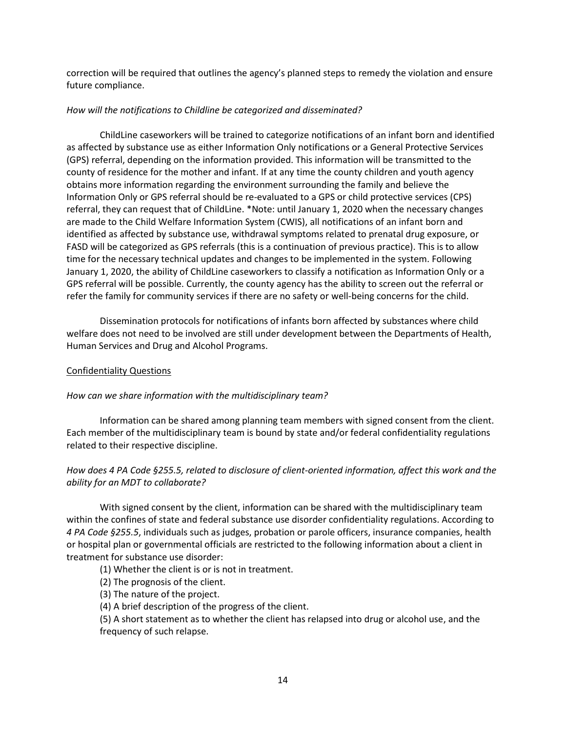correction will be required that outlines the agency's planned steps to remedy the violation and ensure future compliance.

### *How will the notifications to Childline be categorized and disseminated?*

ChildLine caseworkers will be trained to categorize notifications of an infant born and identified as affected by substance use as either Information Only notifications or a General Protective Services (GPS) referral, depending on the information provided. This information will be transmitted to the county of residence for the mother and infant. If at any time the county children and youth agency obtains more information regarding the environment surrounding the family and believe the Information Only or GPS referral should be re-evaluated to a GPS or child protective services (CPS) referral, they can request that of ChildLine. \*Note: until January 1, 2020 when the necessary changes are made to the Child Welfare Information System (CWIS), all notifications of an infant born and identified as affected by substance use, withdrawal symptoms related to prenatal drug exposure, or FASD will be categorized as GPS referrals (this is a continuation of previous practice). This is to allow time for the necessary technical updates and changes to be implemented in the system. Following January 1, 2020, the ability of ChildLine caseworkers to classify a notification as Information Only or a GPS referral will be possible. Currently, the county agency has the ability to screen out the referral or refer the family for community services if there are no safety or well-being concerns for the child.

Dissemination protocols for notifications of infants born affected by substances where child welfare does not need to be involved are still under development between the Departments of Health, Human Services and Drug and Alcohol Programs.

### Confidentiality Questions

### *How can we share information with the multidisciplinary team?*

Information can be shared among planning team members with signed consent from the client. Each member of the multidisciplinary team is bound by state and/or federal confidentiality regulations related to their respective discipline.

# *How does 4 PA Code §255.5, related to disclosure of client-oriented information, affect this work and the ability for an MDT to collaborate?*

With signed consent by the client, information can be shared with the multidisciplinary team within the confines of state and federal substance use disorder confidentiality regulations. According to *4 PA Code §255.5*, individuals such as judges, probation or parole officers, insurance companies, health or hospital plan or governmental officials are restricted to the following information about a client in treatment for substance use disorder:

(1) Whether the client is or is not in treatment.

- (2) The prognosis of the client.
- (3) The nature of the project.
- (4) A brief description of the progress of the client.

(5) A short statement as to whether the client has relapsed into drug or alcohol use, and the frequency of such relapse.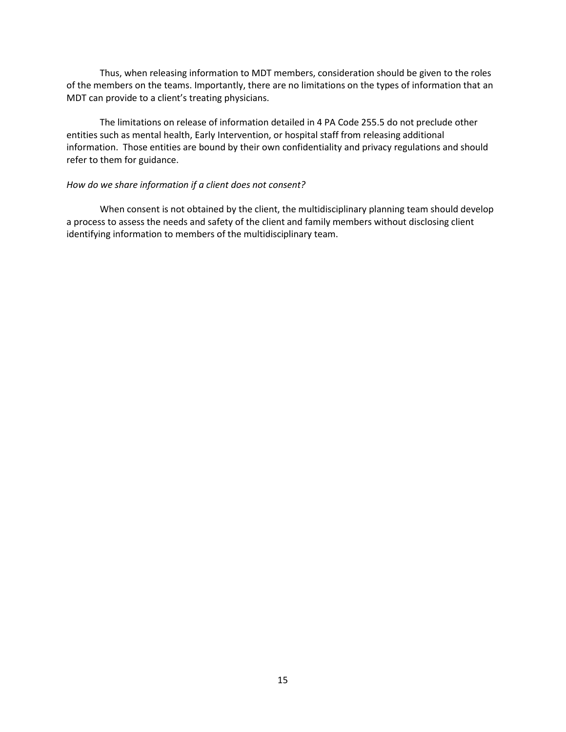Thus, when releasing information to MDT members, consideration should be given to the roles of the members on the teams. Importantly, there are no limitations on the types of information that an MDT can provide to a client's treating physicians.

The limitations on release of information detailed in 4 PA Code 255.5 do not preclude other entities such as mental health, Early Intervention, or hospital staff from releasing additional information. Those entities are bound by their own confidentiality and privacy regulations and should refer to them for guidance.

### *How do we share information if a client does not consent?*

When consent is not obtained by the client, the multidisciplinary planning team should develop a process to assess the needs and safety of the client and family members without disclosing client identifying information to members of the multidisciplinary team.